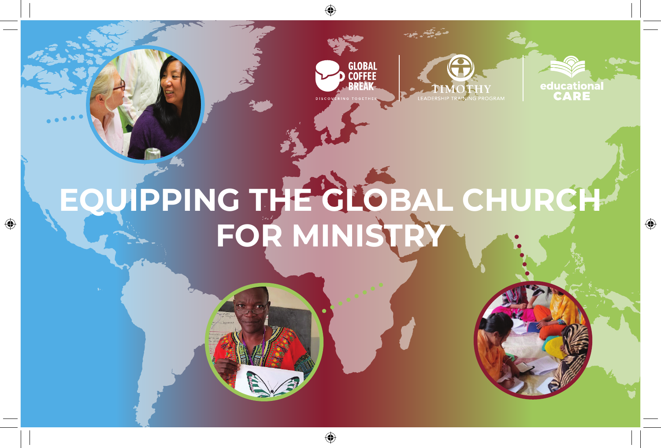





 $\bigoplus$ 

## **EQUIPPING THE GLOBAL CHURCH FOR MINISTRY**

♠